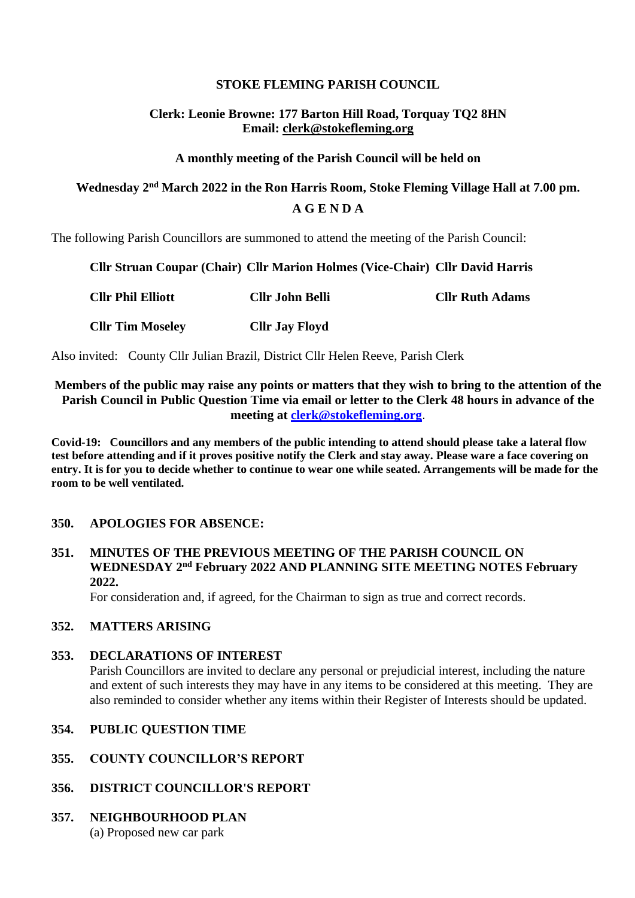# **STOKE FLEMING PARISH COUNCIL**

# **Clerk: Leonie Browne: 177 Barton Hill Road, Torquay TQ2 8HN Email: clerk@stokefleming.org**

#### **A monthly meeting of the Parish Council will be held on**

# **Wednesday 2 nd March 2022 in the Ron Harris Room, Stoke Fleming Village Hall at 7.00 pm. A G E N D A**

The following Parish Councillors are summoned to attend the meeting of the Parish Council:

#### **Cllr Struan Coupar (Chair) Cllr Marion Holmes (Vice-Chair) Cllr David Harris**

| <b>Cllr Phil Elliott</b> | <b>Cllr John Belli</b> | <b>Cllr Ruth Adams</b> |
|--------------------------|------------------------|------------------------|
| <b>Cllr Tim Moseley</b>  | <b>Cllr Jay Floyd</b>  |                        |

Also invited: County Cllr Julian Brazil, District Cllr Helen Reeve, Parish Clerk

# **Members of the public may raise any points or matters that they wish to bring to the attention of the Parish Council in Public Question Time via email or letter to the Clerk 48 hours in advance of the meeting at [clerk@stokefleming.org](about:blank)**.

**Covid-19: Councillors and any members of the public intending to attend should please take a lateral flow test before attending and if it proves positive notify the Clerk and stay away. Please ware a face covering on entry. It is for you to decide whether to continue to wear one while seated. Arrangements will be made for the room to be well ventilated.**

# **350. APOLOGIES FOR ABSENCE:**

# **351. MINUTES OF THE PREVIOUS MEETING OF THE PARISH COUNCIL ON WEDNESDAY 2 nd February 2022 AND PLANNING SITE MEETING NOTES February 2022.**

For consideration and, if agreed, for the Chairman to sign as true and correct records.

# **352. MATTERS ARISING**

#### **353. DECLARATIONS OF INTEREST**

Parish Councillors are invited to declare any personal or prejudicial interest, including the nature and extent of such interests they may have in any items to be considered at this meeting. They are also reminded to consider whether any items within their Register of Interests should be updated.

#### **354. PUBLIC QUESTION TIME**

- **355. COUNTY COUNCILLOR'S REPORT**
- **356. DISTRICT COUNCILLOR'S REPORT**

# **357. NEIGHBOURHOOD PLAN**

(a) Proposed new car park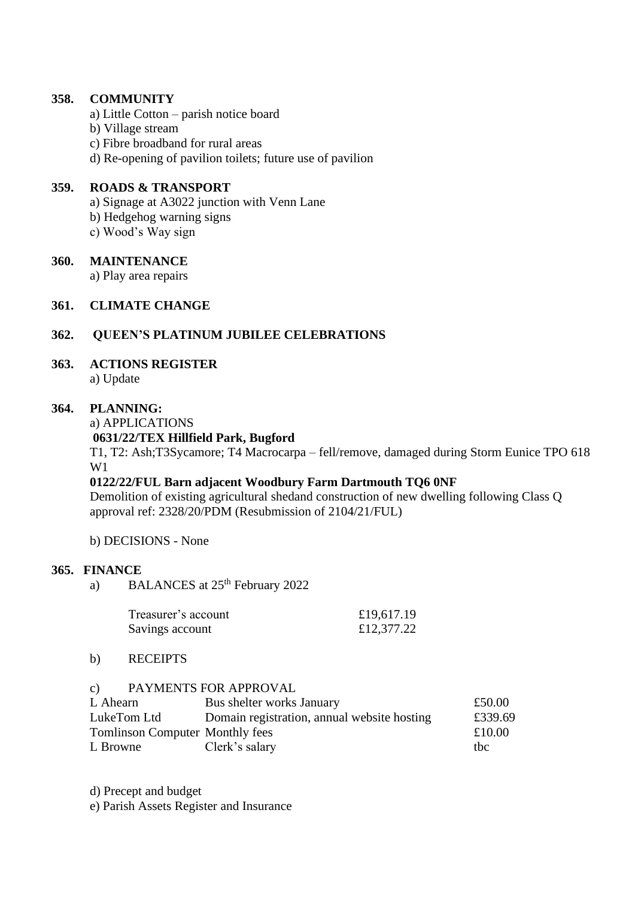#### **358. COMMUNITY**

- a) Little Cotton parish notice board
- b) Village stream
- c) Fibre broadband for rural areas
- d) Re-opening of pavilion toilets; future use of pavilion

#### **359. ROADS & TRANSPORT**

- a) Signage at A3022 junction with Venn Lane
- b) Hedgehog warning signs
- c) Wood's Way sign

#### **360. MAINTENANCE**

a) Play area repairs

# **361. CLIMATE CHANGE**

# **362. QUEEN'S PLATINUM JUBILEE CELEBRATIONS**

# **363. ACTIONS REGISTER**

a) Update

#### **364. PLANNING:**

a) APPLICATIONS

# **0631/22/TEX Hillfield Park, Bugford**

T1, T2: Ash;T3Sycamore; T4 Macrocarpa – fell/remove, damaged during Storm Eunice TPO 618 W1

# **0122/22/FUL Barn adjacent Woodbury Farm Dartmouth TQ6 0NF**

Demolition of existing agricultural shedand construction of new dwelling following Class Q approval ref: 2328/20/PDM (Resubmission of 2104/21/FUL)

b) DECISIONS - None

# **365. FINANCE**

a) BALANCES at 25<sup>th</sup> February 2022

| Treasurer's account | £19,617.19 |
|---------------------|------------|
| Savings account     | £12,377.22 |

#### b) RECEIPTS

#### c) PAYMENTS FOR APPROVAL

| L Ahearn                               | Bus shelter works January                   | £50.00  |
|----------------------------------------|---------------------------------------------|---------|
| LukeTom Ltd                            | Domain registration, annual website hosting | £339.69 |
| <b>Tomlinson Computer Monthly fees</b> |                                             | £10.00  |
| L Browne                               | Clerk's salary                              | thc.    |

d) Precept and budget

e) Parish Assets Register and Insurance